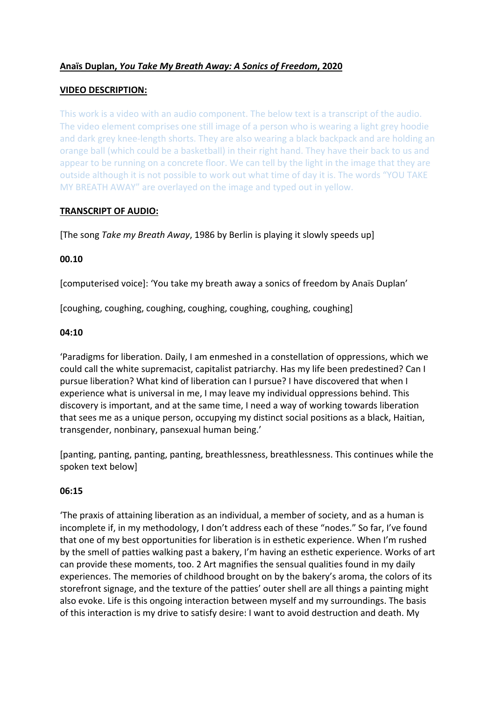## **Anaïs Duplan,** *You Take My Breath Away: A Sonics of Freedom***, 2020**

### **VIDEO DESCRIPTION:**

This work is a video with an audio component. The below text is a transcript of the audio. The video element comprises one still image of a person who is wearing a light grey hoodie and dark grey knee-length shorts. They are also wearing a black backpack and are holding an orange ball (which could be a basketball) in their right hand. They have their back to us and appear to be running on a concrete floor. We can tell by the light in the image that they are outside although it is not possible to work out what time of day it is. The words "YOU TAKE MY BREATH AWAY" are overlayed on the image and typed out in yellow.

### **TRANSCRIPT OF AUDIO:**

[The song *Take my Breath Away*, 1986 by Berlin is playing it slowly speeds up]

### **00.10**

[computerised voice]: 'You take my breath away a sonics of freedom by Anaïs Duplan'

[coughing, coughing, coughing, coughing, coughing, coughing, coughing]

#### **04:10**

'Paradigms for liberation. Daily, I am enmeshed in a constellation of oppressions, which we could call the white supremacist, capitalist patriarchy. Has my life been predestined? Can I pursue liberation? What kind of liberation can I pursue? I have discovered that when I experience what is universal in me, I may leave my individual oppressions behind. This discovery is important, and at the same time, I need a way of working towards liberation that sees me as a unique person, occupying my distinct social positions as a black, Haitian, transgender, nonbinary, pansexual human being.'

[panting, panting, panting, panting, breathlessness, breathlessness. This continues while the spoken text below]

## **06:15**

'The praxis of attaining liberation as an individual, a member of society, and as a human is incomplete if, in my methodology, I don't address each of these "nodes." So far, I've found that one of my best opportunities for liberation is in esthetic experience. When I'm rushed by the smell of patties walking past a bakery, I'm having an esthetic experience. Works of art can provide these moments, too. 2 Art magnifies the sensual qualities found in my daily experiences. The memories of childhood brought on by the bakery's aroma, the colors of its storefront signage, and the texture of the patties' outer shell are all things a painting might also evoke. Life is this ongoing interaction between myself and my surroundings. The basis of this interaction is my drive to satisfy desire: I want to avoid destruction and death. My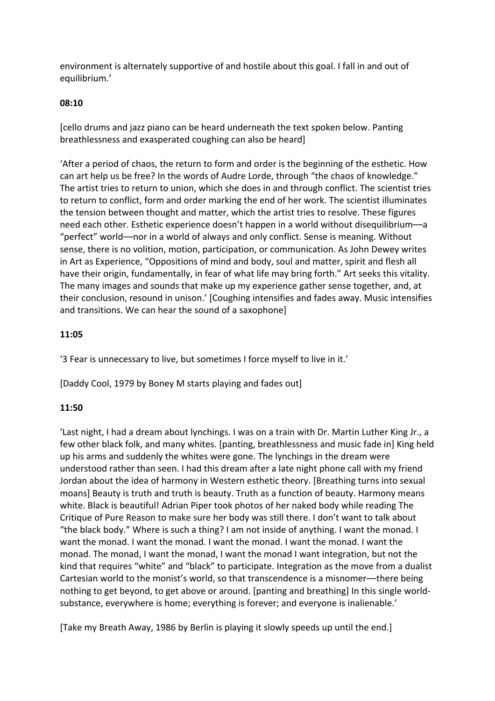environment is alternately supportive of and hostile about this goal. I fall in and out of equilibrium.'

## **08:10**

[cello drums and jazz piano can be heard underneath the text spoken below. Panting breathlessness and exasperated coughing can also be heard]

'After a period of chaos, the return to form and order is the beginning of the esthetic. How can art help us be free? In the words of Audre Lorde, through "the chaos of knowledge." The artist tries to return to union, which she does in and through conflict. The scientist tries to return to conflict, form and order marking the end of her work. The scientist illuminates the tension between thought and matter, which the artist tries to resolve. These figures need each other. Esthetic experience doesn't happen in a world without disequilibrium––a "perfect" world––nor in a world of always and only conflict. Sense is meaning. Without sense, there is no volition, motion, participation, or communication. As John Dewey writes in Art as Experience, "Oppositions of mind and body, soul and matter, spirit and flesh all have their origin, fundamentally, in fear of what life may bring forth." Art seeks this vitality. The many images and sounds that make up my experience gather sense together, and, at their conclusion, resound in unison.' [Coughing intensifies and fades away. Music intensifies and transitions. We can hear the sound of a saxophone]

### **11:05**

'3 Fear is unnecessary to live, but sometimes I force myself to live in it.'

[Daddy Cool, 1979 by Boney M starts playing and fades out]

## **11:50**

'Last night, I had a dream about lynchings. I was on a train with Dr. Martin Luther King Jr., a few other black folk, and many whites. [panting, breathlessness and music fade in] King held up his arms and suddenly the whites were gone. The lynchings in the dream were understood rather than seen. I had this dream after a late night phone call with my friend Jordan about the idea of harmony in Western esthetic theory. [Breathing turns into sexual moans] Beauty is truth and truth is beauty. Truth as a function of beauty. Harmony means white. Black is beautiful! Adrian Piper took photos of her naked body while reading The Critique of Pure Reason to make sure her body was still there. I don't want to talk about "the black body." Where is such a thing? I am not inside of anything. I want the monad. I want the monad. I want the monad. I want the monad. I want the monad. I want the monad. The monad, I want the monad, I want the monad I want integration, but not the kind that requires "white" and "black" to participate. Integration as the move from a dualist Cartesian world to the monist's world, so that transcendence is a misnomer––there being nothing to get beyond, to get above or around. [panting and breathing] In this single worldsubstance, everywhere is home; everything is forever; and everyone is inalienable.'

[Take my Breath Away, 1986 by Berlin is playing it slowly speeds up until the end.]